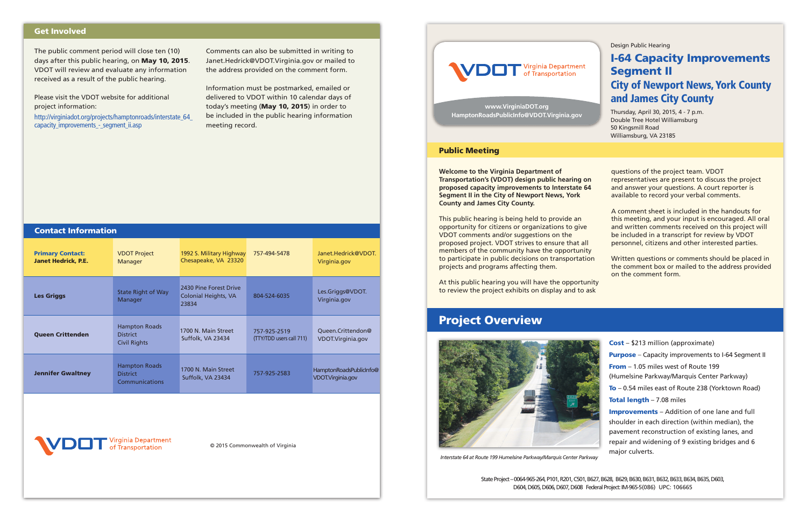*Interstate 64 at Route 199 Humelsine Parkway/Marquis Center Parkway*

Design Public Hearing

## I-64 Capacity Improvements Segment II City of Newport News, York County

## and James City County

Thursday, April 30, 2015, 4 - 7 p.m. Double Tree Hotel Williamsburg 50 Kingsmill Road Williamsburg, VA 23185

**Welcome to the Virginia Department of Transportation's (VDOT) design public hearing on proposed capacity improvements to Interstate 64 Segment II in the City of Newport News, York County and James City County.**

This public hearing is being held to provide an opportunity for citizens or organizations to give VDOT comments and/or suggestions on the proposed project. VDOT strives to ensure that all members of the community have the opportunity to participate in public decisions on transportation projects and programs affecting them.

At this public hearing you will have the opportunity to review the project exhibits on display and to ask

questions of the project team. VDOT representatives are present to discuss the project and answer your questions. A court reporter is available to record your verbal comments.

A comment sheet is included in the handouts for this meeting, and your input is encouraged. All oral and written comments received on this project will be included in a transcript for review by VDOT personnel, citizens and other interested parties.

Written questions or comments should be placed in the comment box or mailed to the address provided on the comment form.





### Public Meeting

## Project Overview



Cost – \$213 million (approximate) **Purpose** – Capacity improvements to I-64 Segment II From – 1.05 miles west of Route 199 (Humelsine Parkway/Marquis Center Parkway) To – 0.54 miles east of Route 238 (Yorktown Road) Total length - 7.08 miles Improvements – Addition of one lane and full shoulder in each direction (within median), the pavement reconstruction of existing lanes, and

repair and widening of 9 existing bridges and 6

major culverts.

State Project – 0064-965-264, P101, R201, C501, B627, B628, B629, B630, B631, B632, B633, B634, B635, D603, D604, D605, D606, D607, D608 Federal Project: IM-965-5(086) UPC: 106665

**www.VirginiaDOT.org HamptonRoadsPublicInfo@VDOT.Virginia.gov**

© 2015 Commonwealth of Virginia



The public comment period will close ten (10) days after this public hearing, on May 10, 2015. VDOT will review and evaluate any information received as a result of the public hearing.

Please visit the VDOT website for additional project information:

http://virginiadot.org/projects/hamptonroads/interstate\_64\_ capacity\_improvements\_-\_segment\_ii.asp

Comments can also be submitted in writing to Janet.Hedrick@VDOT.Virginia.gov or mailed to the address provided on the comment form.

Information must be postmarked, emailed or delivered to VDOT within 10 calendar days of today's meeting (May 10, 2015) in order to be included in the public hearing information meeting record.

### Get Involved

| <b>Contact Information</b>                            |                                                                |                                                                |                                          |                                              |
|-------------------------------------------------------|----------------------------------------------------------------|----------------------------------------------------------------|------------------------------------------|----------------------------------------------|
| <b>Primary Contact:</b><br><b>Janet Hedrick, P.E.</b> | <b>VDOT Project</b><br>Manager                                 | 1992 S. Military Highway<br>Chesapeake, VA 23320               | 757-494-5478                             | Janet.Hedrick@VDOT.<br>Virginia.gov          |
| <b>Les Griggs</b>                                     | <b>State Right of Way</b><br>Manager                           | 2430 Pine Forest Drive<br><b>Colonial Heights, VA</b><br>23834 | 804-524-6035                             | Les.Griggs@VDOT.<br>Virginia.gov             |
| <b>Oueen Crittenden</b>                               | <b>Hampton Roads</b><br><b>District</b><br><b>Civil Rights</b> | 1700 N. Main Street<br>Suffolk, VA 23434                       | 757-925-2519<br>(TTY/TDD users call 711) | Queen.Crittendon@<br>VDOT.Virginia.gov       |
| <b>Jennifer Gwaltney</b>                              | <b>Hampton Roads</b><br><b>District</b><br>Communications      | 1700 N. Main Street<br>Suffolk, VA 23434                       | 757-925-2583                             | HamptonRoadsPublicInfo@<br>VDOT.Virginia.gov |
|                                                       |                                                                |                                                                |                                          |                                              |

rginia Department Transportation